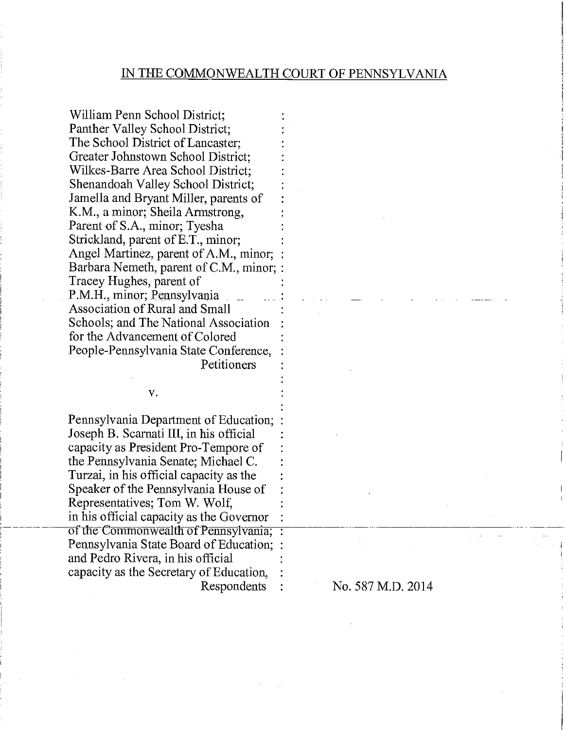William Penn School District; Panther Valley School District; The School District of Lancaster; Greater Johnstown School District; Wilkes-Barre Area School District; Shenandoah Valley School District; Jamella and Bryant Miller, parents of K.M., a minor; Sheila Armstrong, Parent of S.A., minor; Tyesha Strickland, parent of E.T., minor; Angel Martinez, parent of A.M., minor; Barbara Nemeth, parent of C.M., minor; : Tracey Hughes, parent of P.M.H., minor; Pennsylvania Association of Rural and Small Schools; and The National Association : for the Advancement of Colored People -Pennsylvania State Conference, : **Petitioners** 

Pennsylvania Department of Education; Joseph B. Scarnati III, in his official capacity as President Pro-Tempore of the Pennsylvania Senate; Michael C. Turzai, in his official capacity as the Speaker of the Pennsylvania House of Representatives; Tom W. Wolf, in his official capacity as the Governor<br>of the Commonwealth of Pennsylvania; Pennsylvania State Board of Education; : and Pedro Rivera, in his official capacity as the Secretary of Education, :

v.

Respondents :  $\sim$  No. 587 M.D. 2014